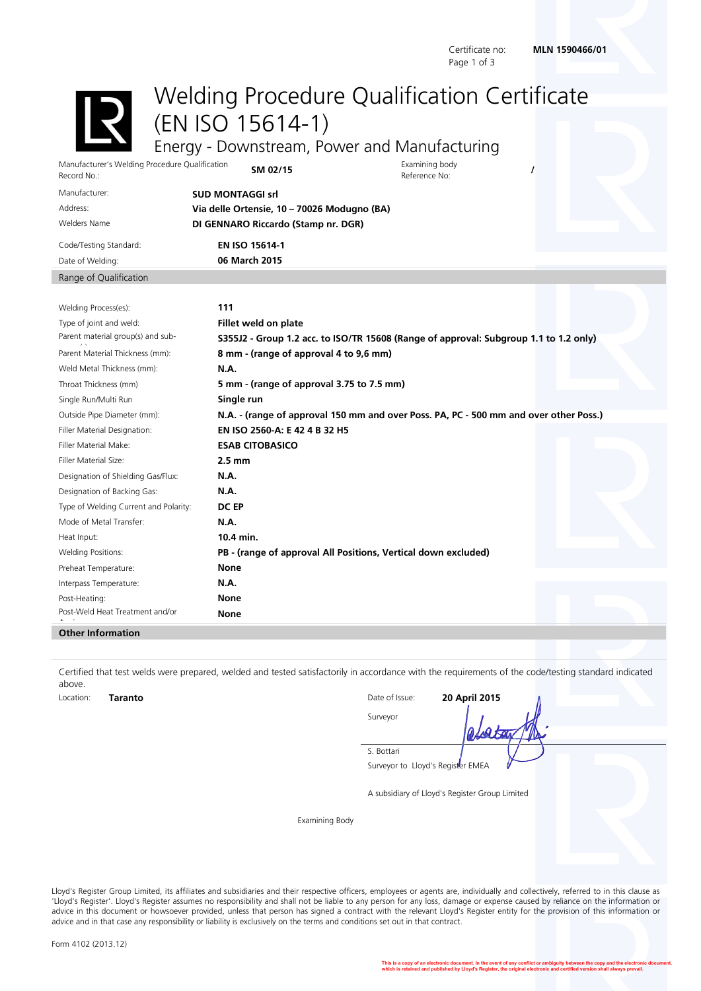Page 1 of 3

## <span id="page-0-0"></span>Certificate no: **MLN 1590466/01**

Welding Procedure Qualification Certificate

<span id="page-0-6"></span><span id="page-0-5"></span><span id="page-0-4"></span><span id="page-0-3"></span>(EN ISO 15614-1) Energy - Downstream, Power and Manufacturing

Manufacturer's Welding Procedure Qualification Record No.: **SM 02/15** Examining body

<span id="page-0-2"></span><span id="page-0-1"></span>Examining body<br>Reference No:

| Manufacturer:          | <b>SUD MONTAGGI srl</b>                     |  |  |  |
|------------------------|---------------------------------------------|--|--|--|
| Address:               | Via delle Ortensie, 10 - 70026 Modugno (BA) |  |  |  |
| <b>Welders Name</b>    | DI GENNARO Riccardo (Stamp nr. DGR)         |  |  |  |
| Code/Testing Standard: | <b>EN ISO 15614-1</b>                       |  |  |  |
| Date of Welding:       | 06 March 2015                               |  |  |  |
| Range of Qualification |                                             |  |  |  |
|                        |                                             |  |  |  |

| Welding Process(es):                  | 111                                                                                   |  |
|---------------------------------------|---------------------------------------------------------------------------------------|--|
| Type of joint and weld:               | Fillet weld on plate                                                                  |  |
| Parent material group(s) and sub-     | S355J2 - Group 1.2 acc. to ISO/TR 15608 (Range of approval: Subgroup 1.1 to 1.2 only) |  |
| Parent Material Thickness (mm):       | 8 mm - (range of approval 4 to 9,6 mm)                                                |  |
| Weld Metal Thickness (mm):            | <b>N.A.</b>                                                                           |  |
| Throat Thickness (mm)                 | 5 mm - (range of approval 3.75 to 7.5 mm)                                             |  |
| Single Run/Multi Run                  | Single run                                                                            |  |
| Outside Pipe Diameter (mm):           | N.A. - (range of approval 150 mm and over Poss. PA, PC - 500 mm and over other Poss.) |  |
| Filler Material Designation:          | EN ISO 2560-A: E 42 4 B 32 H5                                                         |  |
| Filler Material Make:                 | <b>ESAB CITOBASICO</b>                                                                |  |
| Filler Material Size:                 | $2.5 \text{ mm}$                                                                      |  |
| Designation of Shielding Gas/Flux:    | <b>N.A.</b>                                                                           |  |
| Designation of Backing Gas:           | <b>N.A.</b>                                                                           |  |
| Type of Welding Current and Polarity: | DC EP                                                                                 |  |
| Mode of Metal Transfer:               | N.A.                                                                                  |  |
| Heat Input:                           | 10.4 min.                                                                             |  |
| <b>Welding Positions:</b>             | PB - (range of approval All Positions, Vertical down excluded)                        |  |
| Preheat Temperature:                  | <b>None</b>                                                                           |  |
| Interpass Temperature:                | <b>N.A.</b>                                                                           |  |
| Post-Heating:                         | <b>None</b>                                                                           |  |
| Post-Weld Heat Treatment and/or       | None                                                                                  |  |

## **Other Information**

Certified that test welds were prepared, welded and tested satisfactorily in accordance with the requirements of the code/testing standard indicated above. Location: Location: **Taranto** Date of Issue: **20 April 2015** 

| LULULIUI I. | <br>Duccon Duc. | AV APULAVIJ                       |
|-------------|-----------------|-----------------------------------|
|             | Surveyor        | ata                               |
|             | S. Bottari      |                                   |
|             |                 | Surveyor to Lloyd's Register EMEA |

<span id="page-0-8"></span><span id="page-0-7"></span>A subsidiary of Lloyd's Register Group Limited

Examining Body

Lloyd's Register Group Limited, its affiliates and subsidiaries and their respective officers, employees or agents are, individually and collectively, referred to in this clause as 'Lloyd's Register'. Lloyd's Register assumes no responsibility and shall not be liable to any person for any loss, damage or expense caused by reliance on the information or advice in this document or howsoever provided, unless that person has signed a contract with the relevant Lloyd's Register entity for the provision of this information or advice and in that case any responsibility or liability is exclusively on the terms and conditions set out in that contract.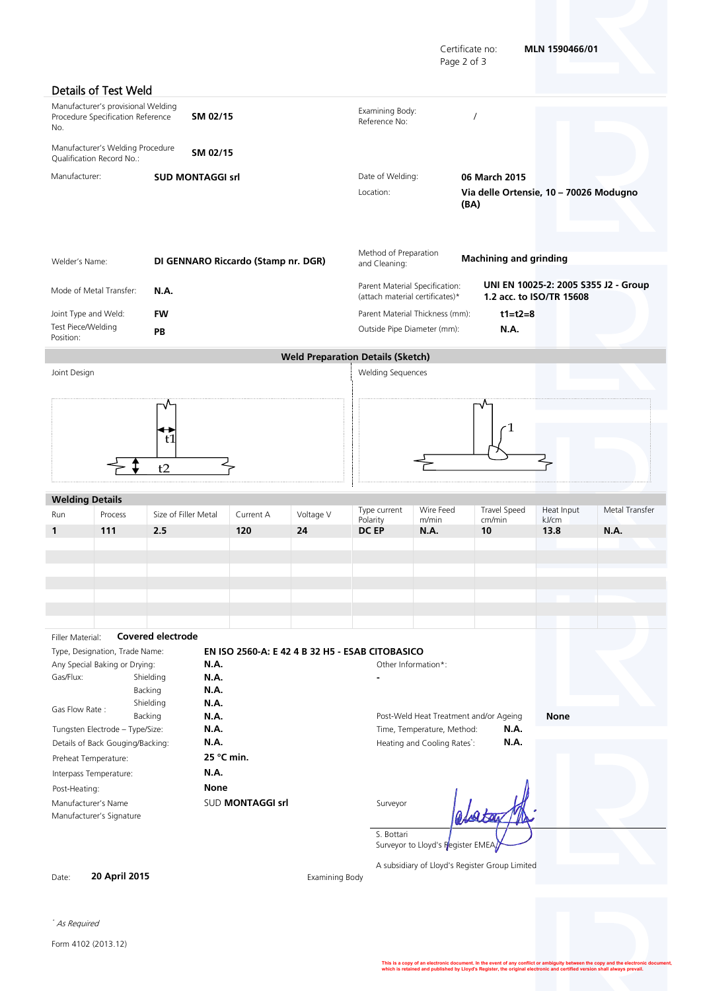Certificate no: **MLN [1590466/01](#page-0-0)** Page 2 of 3

|                                 | Details of Test Weld                                                    |                      |                                                 |           |                                                                   |                                   |                                                |                          |                                      |
|---------------------------------|-------------------------------------------------------------------------|----------------------|-------------------------------------------------|-----------|-------------------------------------------------------------------|-----------------------------------|------------------------------------------------|--------------------------|--------------------------------------|
| No.                             | Manufacturer's provisional Welding<br>Procedure Specification Reference |                      | SM 02/15                                        |           | Examining Body:<br>Reference No:                                  |                                   | $\prime$                                       |                          |                                      |
|                                 | Manufacturer's Welding Procedure<br>Qualification Record No.:           |                      | SM 02/15                                        |           |                                                                   |                                   |                                                |                          |                                      |
| Manufacturer:                   |                                                                         |                      | <b>SUD MONTAGGI srl</b>                         |           | Date of Welding:                                                  |                                   | 06 March 2015                                  |                          |                                      |
|                                 |                                                                         |                      |                                                 |           | Location:                                                         |                                   | Via delle Ortensie, 10 - 70026 Modugno<br>(BA) |                          |                                      |
| Welder's Name:                  |                                                                         |                      | DI GENNARO Riccardo (Stamp nr. DGR)             |           | Method of Preparation<br>and Cleaning:                            |                                   | <b>Machining and grinding</b>                  |                          |                                      |
|                                 | Mode of Metal Transfer:                                                 | <b>N.A.</b>          |                                                 |           | Parent Material Specification:<br>(attach material certificates)* |                                   |                                                | 1.2 acc. to ISO/TR 15608 | UNI EN 10025-2: 2005 S355 J2 - Group |
|                                 | Joint Type and Weld:                                                    | <b>FW</b>            |                                                 |           | Parent Material Thickness (mm):                                   |                                   | $t1 = t2 = 8$                                  |                          |                                      |
| Test Piece/Welding<br>Position: |                                                                         | PB                   |                                                 |           | Outside Pipe Diameter (mm):                                       |                                   | N.A.                                           |                          |                                      |
|                                 |                                                                         |                      |                                                 |           | <b>Weld Preparation Details (Sketch)</b>                          |                                   |                                                |                          |                                      |
| Joint Design                    |                                                                         |                      |                                                 |           | <b>Welding Sequences</b>                                          |                                   |                                                |                          |                                      |
|                                 |                                                                         | ťI<br>t2             |                                                 |           |                                                                   |                                   |                                                |                          |                                      |
| <b>Welding Details</b>          |                                                                         |                      |                                                 |           |                                                                   |                                   |                                                |                          |                                      |
| Run                             | Process                                                                 | Size of Filler Metal | Current A                                       | Voltage V | Type current                                                      | Wire Feed                         | Travel Speed                                   | Heat Input               | Metal Transfer                       |
|                                 |                                                                         |                      |                                                 |           | Polarity                                                          | m/min                             | cm/min                                         | kJ/cm                    |                                      |
| 1                               | 111                                                                     | 2.5                  | 120                                             | 24        | <b>DC EP</b>                                                      | <b>N.A.</b>                       | 10                                             | 13.8                     | N.A.                                 |
|                                 |                                                                         |                      |                                                 |           |                                                                   |                                   |                                                |                          |                                      |
|                                 |                                                                         |                      |                                                 |           |                                                                   |                                   |                                                |                          |                                      |
|                                 |                                                                         |                      |                                                 |           |                                                                   |                                   |                                                |                          |                                      |
|                                 |                                                                         |                      |                                                 |           |                                                                   |                                   |                                                |                          |                                      |
|                                 |                                                                         |                      |                                                 |           |                                                                   |                                   |                                                |                          |                                      |
| Filler Material:                |                                                                         | Covered electrode    |                                                 |           |                                                                   |                                   |                                                |                          |                                      |
|                                 | Type, Designation, Trade Name:                                          |                      | EN ISO 2560-A: E 42 4 B 32 H5 - ESAB CITOBASICO |           |                                                                   |                                   |                                                |                          |                                      |
|                                 | Any Special Baking or Drying:                                           |                      | N.A.                                            |           |                                                                   | Other Information*:               |                                                |                          |                                      |
| Gas/Flux:                       |                                                                         | Shielding<br>Backing | N.A.<br>N.A.                                    |           |                                                                   |                                   |                                                |                          |                                      |
|                                 |                                                                         | Shielding            | N.A.                                            |           |                                                                   |                                   |                                                |                          |                                      |
| Gas Flow Rate:                  |                                                                         | Backing              | N.A.                                            |           |                                                                   |                                   | Post-Weld Heat Treatment and/or Ageing         | <b>None</b>              |                                      |
|                                 | Tungsten Electrode - Type/Size:                                         |                      | N.A.                                            |           |                                                                   | Time, Temperature, Method:        | N.A.                                           |                          |                                      |
|                                 | Details of Back Gouging/Backing:                                        |                      | N.A.<br>25 °C min.                              |           |                                                                   | Heating and Cooling Rates*:       | N.A.                                           |                          |                                      |
|                                 | Preheat Temperature:<br>Interpass Temperature:                          |                      | N.A.                                            |           |                                                                   |                                   |                                                |                          |                                      |
| Post-Heating:                   |                                                                         |                      | <b>None</b>                                     |           |                                                                   |                                   |                                                |                          |                                      |
|                                 | Manufacturer's Name                                                     |                      | SUD MONTAGGI srl                                |           | Surveyor                                                          |                                   |                                                |                          |                                      |
|                                 | Manufacturer's Signature                                                |                      |                                                 |           |                                                                   |                                   |                                                |                          |                                      |
|                                 |                                                                         |                      |                                                 |           | S. Bottari                                                        | Surveyor to Lloyd's Register EMEA |                                                |                          |                                      |
|                                 | 20 April 2015                                                           |                      |                                                 |           |                                                                   |                                   | A subsidiary of Lloyd's Register Group Limited |                          |                                      |

\* As Required